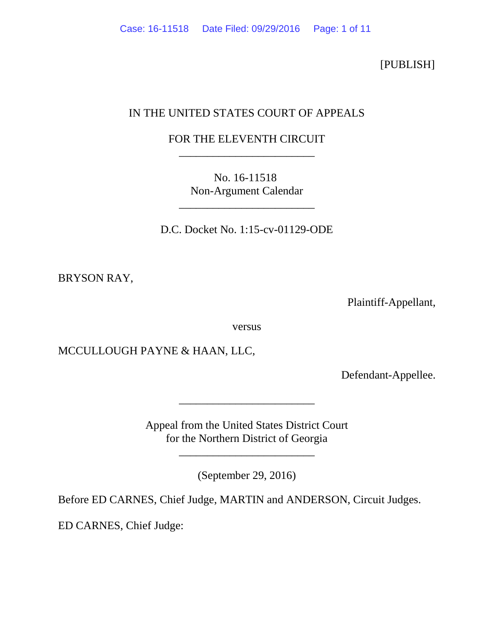[PUBLISH]

# IN THE UNITED STATES COURT OF APPEALS

# FOR THE ELEVENTH CIRCUIT \_\_\_\_\_\_\_\_\_\_\_\_\_\_\_\_\_\_\_\_\_\_\_\_

No. 16-11518 Non-Argument Calendar

\_\_\_\_\_\_\_\_\_\_\_\_\_\_\_\_\_\_\_\_\_\_\_\_

D.C. Docket No. 1:15-cv-01129-ODE

BRYSON RAY,

Plaintiff-Appellant,

versus

MCCULLOUGH PAYNE & HAAN, LLC,

Defendant-Appellee.

Appeal from the United States District Court for the Northern District of Georgia

\_\_\_\_\_\_\_\_\_\_\_\_\_\_\_\_\_\_\_\_\_\_\_\_

\_\_\_\_\_\_\_\_\_\_\_\_\_\_\_\_\_\_\_\_\_\_\_\_

(September 29, 2016)

Before ED CARNES, Chief Judge, MARTIN and ANDERSON, Circuit Judges.

ED CARNES, Chief Judge: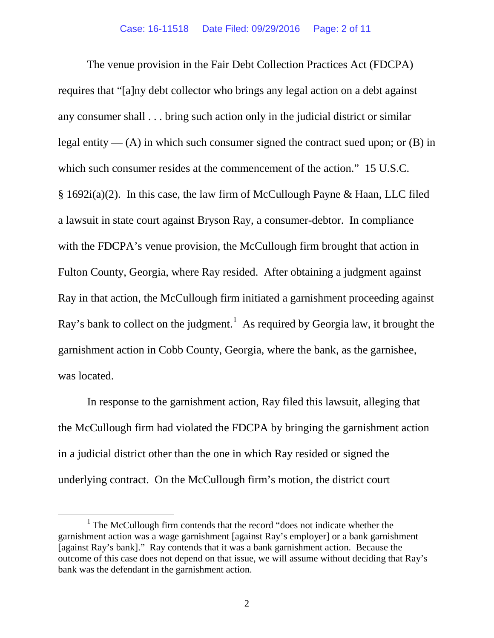The venue provision in the Fair Debt Collection Practices Act (FDCPA) requires that "[a]ny debt collector who brings any legal action on a debt against any consumer shall . . . bring such action only in the judicial district or similar legal entity —  $(A)$  in which such consumer signed the contract sued upon; or  $(B)$  in which such consumer resides at the commencement of the action." 15 U.S.C. § 1692i(a)(2). In this case, the law firm of McCullough Payne & Haan, LLC filed a lawsuit in state court against Bryson Ray, a consumer-debtor. In compliance with the FDCPA's venue provision, the McCullough firm brought that action in Fulton County, Georgia, where Ray resided. After obtaining a judgment against Ray in that action, the McCullough firm initiated a garnishment proceeding against Ray's bank to collect on the judgment.<sup>[1](#page-1-0)</sup> As required by Georgia law, it brought the garnishment action in Cobb County, Georgia, where the bank, as the garnishee, was located.

In response to the garnishment action, Ray filed this lawsuit, alleging that the McCullough firm had violated the FDCPA by bringing the garnishment action in a judicial district other than the one in which Ray resided or signed the underlying contract. On the McCullough firm's motion, the district court

<span id="page-1-0"></span> $1$  The McCullough firm contends that the record "does not indicate whether the garnishment action was a wage garnishment [against Ray's employer] or a bank garnishment [against Ray's bank]." Ray contends that it was a bank garnishment action. Because the outcome of this case does not depend on that issue, we will assume without deciding that Ray's bank was the defendant in the garnishment action.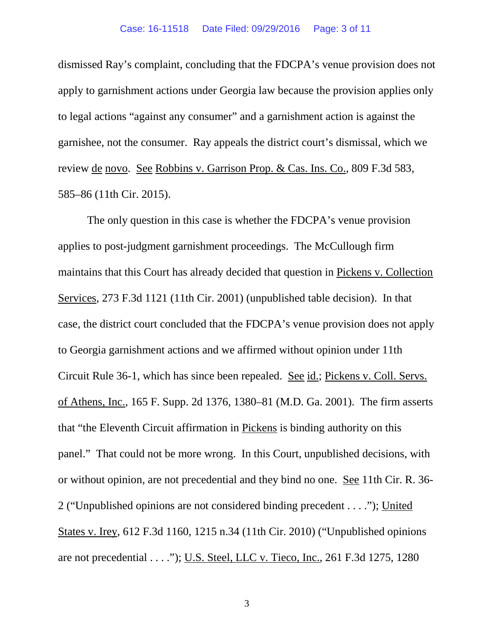dismissed Ray's complaint, concluding that the FDCPA's venue provision does not apply to garnishment actions under Georgia law because the provision applies only to legal actions "against any consumer" and a garnishment action is against the garnishee, not the consumer. Ray appeals the district court's dismissal, which we review de novo. See Robbins v. Garrison Prop. & Cas. Ins. Co., 809 F.3d 583, 585–86 (11th Cir. 2015).

The only question in this case is whether the FDCPA's venue provision applies to post-judgment garnishment proceedings. The McCullough firm maintains that this Court has already decided that question in Pickens v. Collection Services, 273 F.3d 1121 (11th Cir. 2001) (unpublished table decision). In that case, the district court concluded that the FDCPA's venue provision does not apply to Georgia garnishment actions and we affirmed without opinion under 11th Circuit Rule 36-1, which has since been repealed. See id.; Pickens v. Coll. Servs. of Athens, Inc., 165 F. Supp. 2d 1376, 1380–81 (M.D. Ga. 2001). The firm asserts that "the Eleventh Circuit affirmation in Pickens is binding authority on this panel." That could not be more wrong. In this Court, unpublished decisions, with or without opinion, are not precedential and they bind no one. See 11th Cir. R. 36- 2 ("Unpublished opinions are not considered binding precedent . . . ."); United States v. Irey, 612 F.3d 1160, 1215 n.34 (11th Cir. 2010) ("Unpublished opinions are not precedential . . . ."); U.S. Steel, LLC v. Tieco, Inc., 261 F.3d 1275, 1280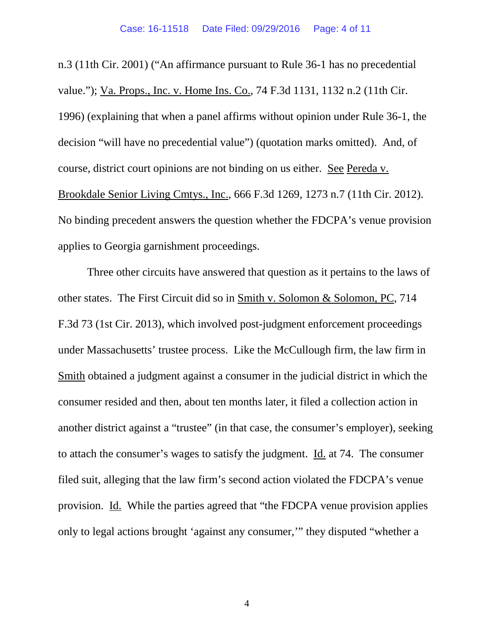n.3 (11th Cir. 2001) ("An affirmance pursuant to Rule 36-1 has no precedential value."); Va. Props., Inc. v. Home Ins. Co., 74 F.3d 1131, 1132 n.2 (11th Cir. 1996) (explaining that when a panel affirms without opinion under Rule 36-1, the decision "will have no precedential value") (quotation marks omitted). And, of course, district court opinions are not binding on us either. See Pereda v. Brookdale Senior Living Cmtys., Inc., 666 F.3d 1269, 1273 n.7 (11th Cir. 2012). No binding precedent answers the question whether the FDCPA's venue provision applies to Georgia garnishment proceedings.

Three other circuits have answered that question as it pertains to the laws of other states. The First Circuit did so in Smith v. Solomon & Solomon, PC, 714 F.3d 73 (1st Cir. 2013), which involved post-judgment enforcement proceedings under Massachusetts' trustee process. Like the McCullough firm, the law firm in Smith obtained a judgment against a consumer in the judicial district in which the consumer resided and then, about ten months later, it filed a collection action in another district against a "trustee" (in that case, the consumer's employer), seeking to attach the consumer's wages to satisfy the judgment. Id. at 74. The consumer filed suit, alleging that the law firm's second action violated the FDCPA's venue provision. Id. While the parties agreed that "the FDCPA venue provision applies only to legal actions brought 'against any consumer,'" they disputed "whether a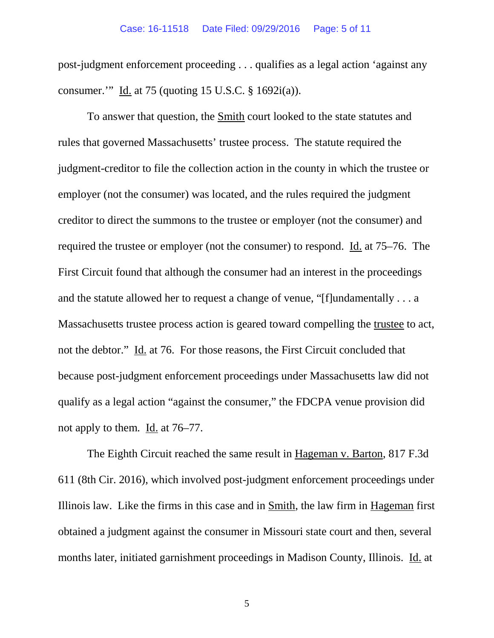### Case: 16-11518 Date Filed: 09/29/2016 Page: 5 of 11

post-judgment enforcement proceeding . . . qualifies as a legal action 'against any consumer.'" Id. at 75 (quoting 15 U.S.C. § 1692i(a)).

To answer that question, the Smith court looked to the state statutes and rules that governed Massachusetts' trustee process. The statute required the judgment-creditor to file the collection action in the county in which the trustee or employer (not the consumer) was located, and the rules required the judgment creditor to direct the summons to the trustee or employer (not the consumer) and required the trustee or employer (not the consumer) to respond. Id. at 75–76. The First Circuit found that although the consumer had an interest in the proceedings and the statute allowed her to request a change of venue, "[f]undamentally . . . a Massachusetts trustee process action is geared toward compelling the trustee to act, not the debtor." Id. at 76. For those reasons, the First Circuit concluded that because post-judgment enforcement proceedings under Massachusetts law did not qualify as a legal action "against the consumer," the FDCPA venue provision did not apply to them. Id. at 76–77.

The Eighth Circuit reached the same result in Hageman v. Barton, 817 F.3d 611 (8th Cir. 2016), which involved post-judgment enforcement proceedings under Illinois law. Like the firms in this case and in Smith, the law firm in Hageman first obtained a judgment against the consumer in Missouri state court and then, several months later, initiated garnishment proceedings in Madison County, Illinois. Id. at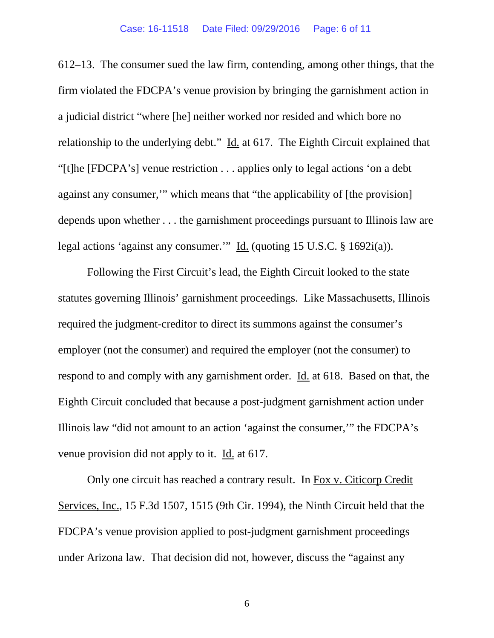612–13. The consumer sued the law firm, contending, among other things, that the firm violated the FDCPA's venue provision by bringing the garnishment action in a judicial district "where [he] neither worked nor resided and which bore no relationship to the underlying debt." Id. at 617. The Eighth Circuit explained that "[t]he [FDCPA's] venue restriction . . . applies only to legal actions 'on a debt against any consumer,'" which means that "the applicability of [the provision] depends upon whether . . . the garnishment proceedings pursuant to Illinois law are legal actions 'against any consumer.'" Id. (quoting 15 U.S.C. § 1692i(a)).

Following the First Circuit's lead, the Eighth Circuit looked to the state statutes governing Illinois' garnishment proceedings. Like Massachusetts, Illinois required the judgment-creditor to direct its summons against the consumer's employer (not the consumer) and required the employer (not the consumer) to respond to and comply with any garnishment order. Id. at 618. Based on that, the Eighth Circuit concluded that because a post-judgment garnishment action under Illinois law "did not amount to an action 'against the consumer,'" the FDCPA's venue provision did not apply to it. Id. at 617.

Only one circuit has reached a contrary result. In Fox v. Citicorp Credit Services, Inc., 15 F.3d 1507, 1515 (9th Cir. 1994), the Ninth Circuit held that the FDCPA's venue provision applied to post-judgment garnishment proceedings under Arizona law. That decision did not, however, discuss the "against any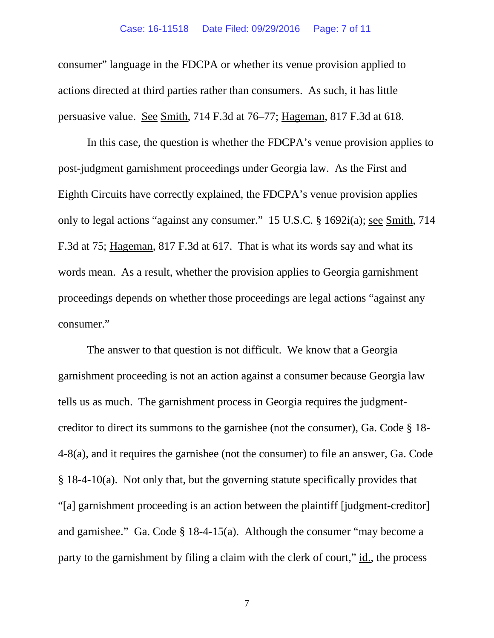consumer" language in the FDCPA or whether its venue provision applied to actions directed at third parties rather than consumers. As such, it has little persuasive value. See Smith, 714 F.3d at 76–77; Hageman, 817 F.3d at 618.

In this case, the question is whether the FDCPA's venue provision applies to post-judgment garnishment proceedings under Georgia law. As the First and Eighth Circuits have correctly explained, the FDCPA's venue provision applies only to legal actions "against any consumer." 15 U.S.C. § 1692i(a); see Smith, 714 F.3d at 75; Hageman, 817 F.3d at 617. That is what its words say and what its words mean. As a result, whether the provision applies to Georgia garnishment proceedings depends on whether those proceedings are legal actions "against any consumer."

The answer to that question is not difficult. We know that a Georgia garnishment proceeding is not an action against a consumer because Georgia law tells us as much. The garnishment process in Georgia requires the judgmentcreditor to direct its summons to the garnishee (not the consumer), Ga. Code § 18- 4-8(a), and it requires the garnishee (not the consumer) to file an answer, Ga. Code § 18-4-10(a). Not only that, but the governing statute specifically provides that "[a] garnishment proceeding is an action between the plaintiff [judgment-creditor] and garnishee." Ga. Code § 18-4-15(a). Although the consumer "may become a party to the garnishment by filing a claim with the clerk of court," id., the process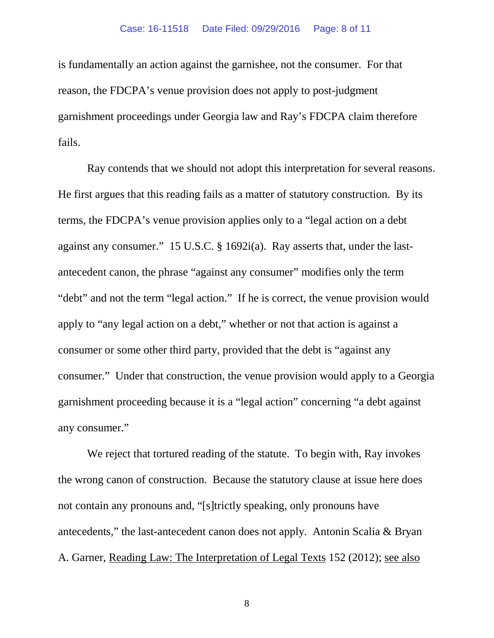### Case: 16-11518 Date Filed: 09/29/2016 Page: 8 of 11

is fundamentally an action against the garnishee, not the consumer. For that reason, the FDCPA's venue provision does not apply to post-judgment garnishment proceedings under Georgia law and Ray's FDCPA claim therefore fails.

Ray contends that we should not adopt this interpretation for several reasons. He first argues that this reading fails as a matter of statutory construction. By its terms, the FDCPA's venue provision applies only to a "legal action on a debt against any consumer." 15 U.S.C. § 1692i(a). Ray asserts that, under the lastantecedent canon, the phrase "against any consumer" modifies only the term "debt" and not the term "legal action." If he is correct, the venue provision would apply to "any legal action on a debt," whether or not that action is against a consumer or some other third party, provided that the debt is "against any consumer." Under that construction, the venue provision would apply to a Georgia garnishment proceeding because it is a "legal action" concerning "a debt against any consumer."

We reject that tortured reading of the statute. To begin with, Ray invokes the wrong canon of construction. Because the statutory clause at issue here does not contain any pronouns and, "[s]trictly speaking, only pronouns have antecedents," the last-antecedent canon does not apply. Antonin Scalia & Bryan A. Garner, Reading Law: The Interpretation of Legal Texts 152 (2012); see also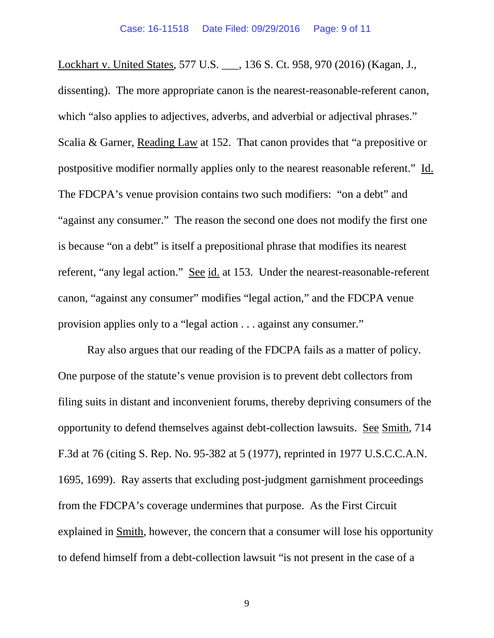Lockhart v. United States, 577 U.S. \_\_\_, 136 S. Ct. 958, 970 (2016) (Kagan, J., dissenting). The more appropriate canon is the nearest-reasonable-referent canon, which "also applies to adjectives, adverbs, and adverbial or adjectival phrases." Scalia & Garner, Reading Law at 152. That canon provides that "a prepositive or postpositive modifier normally applies only to the nearest reasonable referent." Id. The FDCPA's venue provision contains two such modifiers: "on a debt" and "against any consumer." The reason the second one does not modify the first one is because "on a debt" is itself a prepositional phrase that modifies its nearest referent, "any legal action." See id. at 153. Under the nearest-reasonable-referent canon, "against any consumer" modifies "legal action," and the FDCPA venue provision applies only to a "legal action . . . against any consumer."

Ray also argues that our reading of the FDCPA fails as a matter of policy. One purpose of the statute's venue provision is to prevent debt collectors from filing suits in distant and inconvenient forums, thereby depriving consumers of the opportunity to defend themselves against debt-collection lawsuits. See Smith, 714 F.3d at 76 (citing S. Rep. No. 95-382 at 5 (1977), reprinted in 1977 U.S.C.C.A.N. 1695, 1699). Ray asserts that excluding post-judgment garnishment proceedings from the FDCPA's coverage undermines that purpose. As the First Circuit explained in Smith, however, the concern that a consumer will lose his opportunity to defend himself from a debt-collection lawsuit "is not present in the case of a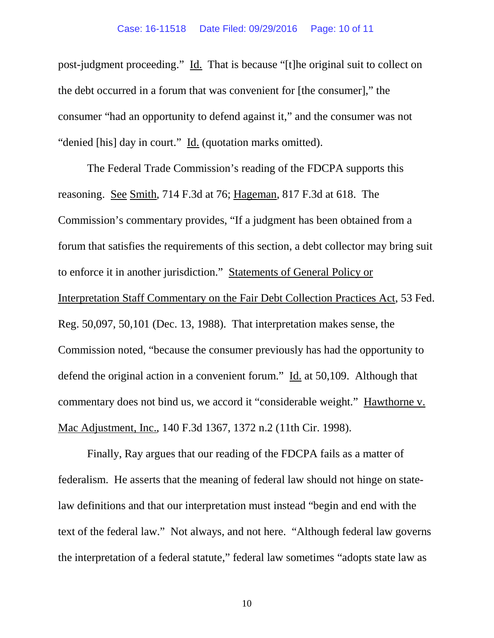post-judgment proceeding." Id. That is because "[t]he original suit to collect on the debt occurred in a forum that was convenient for [the consumer]," the consumer "had an opportunity to defend against it," and the consumer was not "denied [his] day in court." Id. (quotation marks omitted).

The Federal Trade Commission's reading of the FDCPA supports this reasoning. See Smith, 714 F.3d at 76; Hageman, 817 F.3d at 618. The Commission's commentary provides, "If a judgment has been obtained from a forum that satisfies the requirements of this section, a debt collector may bring suit to enforce it in another jurisdiction." Statements of General Policy or Interpretation Staff Commentary on the Fair Debt Collection Practices Act, 53 Fed. Reg. 50,097, 50,101 (Dec. 13, 1988). That interpretation makes sense, the Commission noted, "because the consumer previously has had the opportunity to defend the original action in a convenient forum." Id. at 50,109. Although that commentary does not bind us, we accord it "considerable weight." Hawthorne v. Mac Adjustment, Inc., 140 F.3d 1367, 1372 n.2 (11th Cir. 1998).

Finally, Ray argues that our reading of the FDCPA fails as a matter of federalism. He asserts that the meaning of federal law should not hinge on statelaw definitions and that our interpretation must instead "begin and end with the text of the federal law." Not always, and not here. "Although federal law governs the interpretation of a federal statute," federal law sometimes "adopts state law as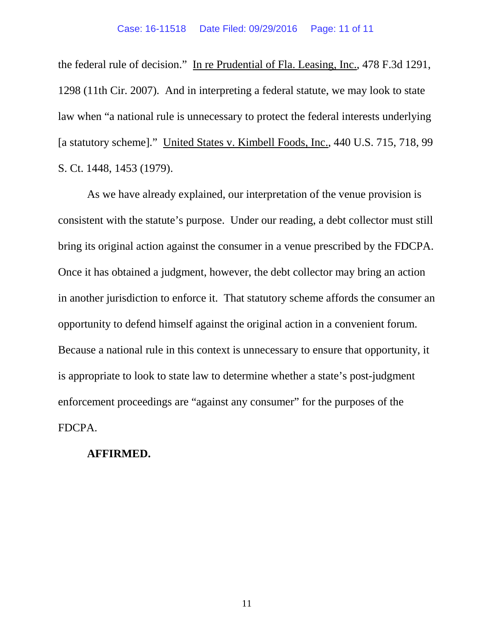the federal rule of decision." In re Prudential of Fla. Leasing, Inc., 478 F.3d 1291, 1298 (11th Cir. 2007). And in interpreting a federal statute, we may look to state law when "a national rule is unnecessary to protect the federal interests underlying [a statutory scheme]." United States v. Kimbell Foods, Inc., 440 U.S. 715, 718, 99 S. Ct. 1448, 1453 (1979).

As we have already explained, our interpretation of the venue provision is consistent with the statute's purpose. Under our reading, a debt collector must still bring its original action against the consumer in a venue prescribed by the FDCPA. Once it has obtained a judgment, however, the debt collector may bring an action in another jurisdiction to enforce it. That statutory scheme affords the consumer an opportunity to defend himself against the original action in a convenient forum. Because a national rule in this context is unnecessary to ensure that opportunity, it is appropriate to look to state law to determine whether a state's post-judgment enforcement proceedings are "against any consumer" for the purposes of the FDCPA.

## **AFFIRMED.**